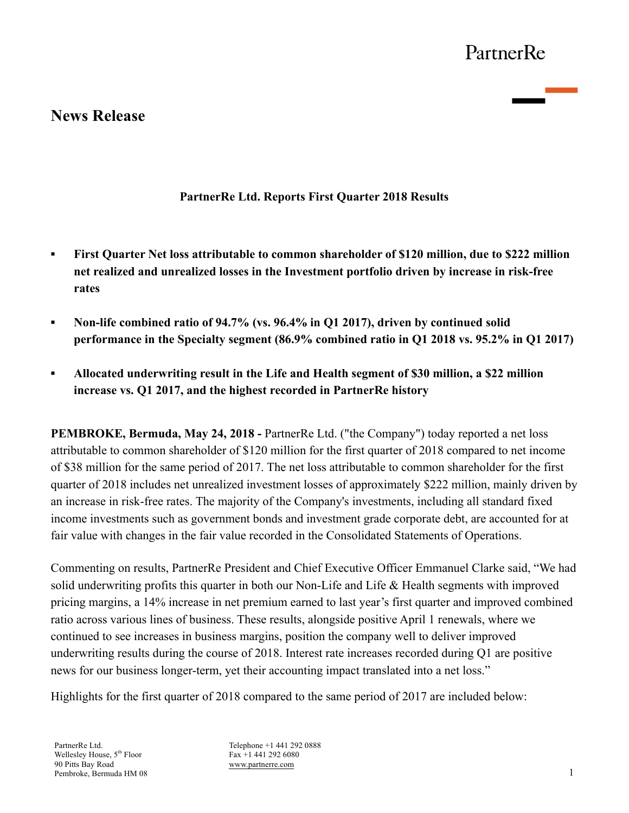# **News Release**

## **PartnerRe Ltd. Reports First Quarter 2018 Results**

- **First Quarter Net loss attributable to common shareholder of \$120 million, due to \$222 million net realized and unrealized losses in the Investment portfolio driven by increase in risk-free rates**
- **▪ Non-life combined ratio of 94.7% (vs. 96.4% in Q1 2017), driven by continued solid performance in the Specialty segment (86.9% combined ratio in Q1 2018 vs. 95.2% in Q1 2017)**
- **▪ Allocated underwriting result in the Life and Health segment of \$30 million, a \$22 million increase vs. Q1 2017, and the highest recorded in PartnerRe history**

**PEMBROKE, Bermuda, May 24, 2018 -** PartnerRe Ltd. ("the Company") today reported a net loss attributable to common shareholder of \$120 million for the first quarter of 2018 compared to net income of \$38 million for the same period of 2017. The net loss attributable to common shareholder for the first quarter of 2018 includes net unrealized investment losses of approximately \$222 million, mainly driven by an increase in risk-free rates. The majority of the Company's investments, including all standard fixed income investments such as government bonds and investment grade corporate debt, are accounted for at fair value with changes in the fair value recorded in the Consolidated Statements of Operations.

Commenting on results, PartnerRe President and Chief Executive Officer Emmanuel Clarke said, "We had solid underwriting profits this quarter in both our Non-Life and Life & Health segments with improved pricing margins, a 14% increase in net premium earned to last year's first quarter and improved combined ratio across various lines of business. These results, alongside positive April 1 renewals, where we continued to see increases in business margins, position the company well to deliver improved underwriting results during the course of 2018. Interest rate increases recorded during Q1 are positive news for our business longer-term, yet their accounting impact translated into a net loss."

Highlights for the first quarter of 2018 compared to the same period of 2017 are included below:

PartnerRe Ltd. Wellesley House, 5<sup>th</sup> Floor 90 Pitts Bay Road Pembroke, Bermuda HM 08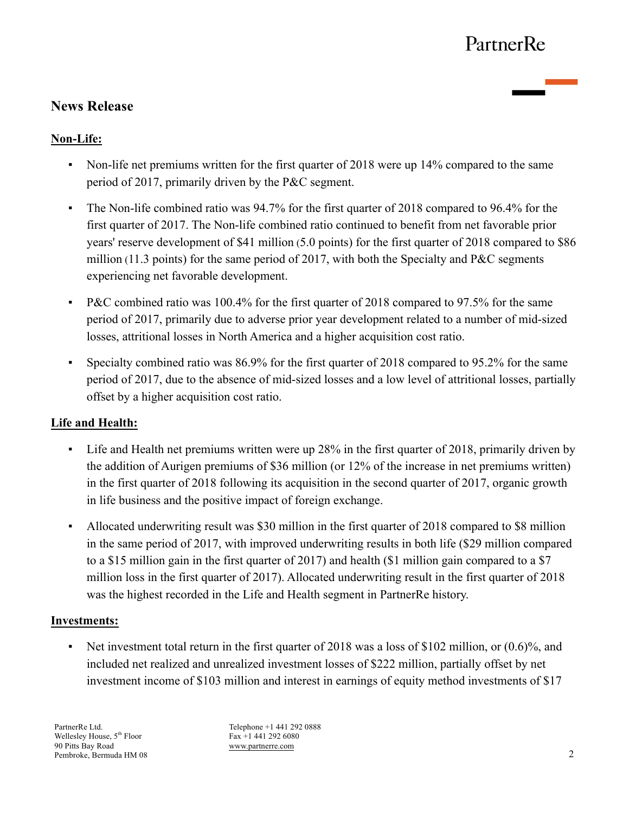# **News Release**

## **Non-Life:**

- Non-life net premiums written for the first quarter of 2018 were up 14% compared to the same period of 2017, primarily driven by the P&C segment.
- The Non-life combined ratio was 94.7% for the first quarter of 2018 compared to 96.4% for the first quarter of 2017. The Non-life combined ratio continued to benefit from net favorable prior years' reserve development of \$41 million (5.0 points) for the first quarter of 2018 compared to \$86 million (11.3 points) for the same period of 2017, with both the Specialty and P&C segments experiencing net favorable development.
- P&C combined ratio was 100.4% for the first quarter of 2018 compared to 97.5% for the same period of 2017, primarily due to adverse prior year development related to a number of mid-sized losses, attritional losses in North America and a higher acquisition cost ratio.
- Specialty combined ratio was 86.9% for the first quarter of 2018 compared to 95.2% for the same period of 2017, due to the absence of mid-sized losses and a low level of attritional losses, partially offset by a higher acquisition cost ratio.

## **Life and Health:**

- Life and Health net premiums written were up 28% in the first quarter of 2018, primarily driven by the addition of Aurigen premiums of \$36 million (or 12% of the increase in net premiums written) in the first quarter of 2018 following its acquisition in the second quarter of 2017, organic growth in life business and the positive impact of foreign exchange.
- Allocated underwriting result was \$30 million in the first quarter of 2018 compared to \$8 million in the same period of 2017, with improved underwriting results in both life (\$29 million compared to a \$15 million gain in the first quarter of 2017) and health (\$1 million gain compared to a \$7 million loss in the first quarter of 2017). Allocated underwriting result in the first quarter of 2018 was the highest recorded in the Life and Health segment in PartnerRe history.

### **Investments:**

▪ Net investment total return in the first quarter of 2018 was a loss of \$102 million, or (0.6)%, and included net realized and unrealized investment losses of \$222 million, partially offset by net investment income of \$103 million and interest in earnings of equity method investments of \$17

PartnerRe Ltd. Wellesley House,  $5^{\text{th}}$  Floor 90 Pitts Bay Road Pembroke, Bermuda HM 08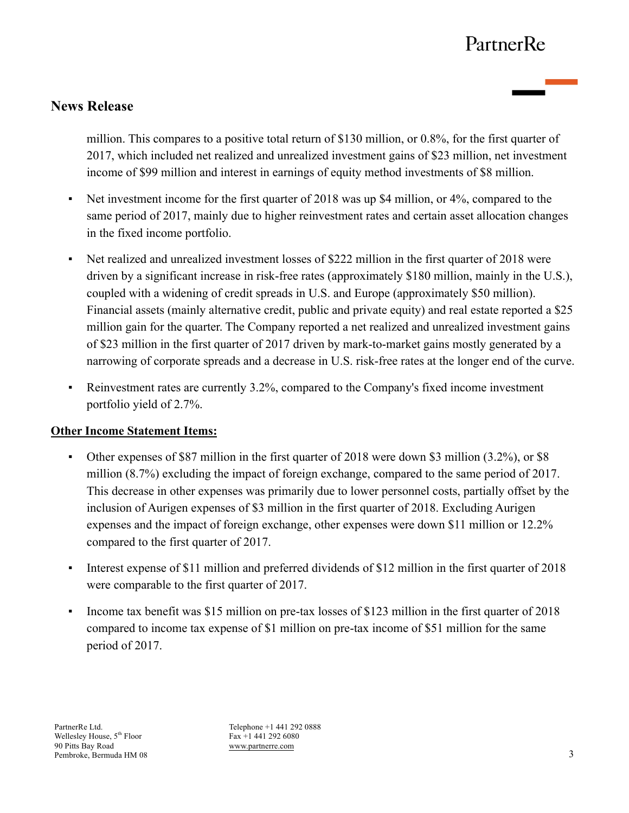# **News Release**

million. This compares to a positive total return of \$130 million, or 0.8%, for the first quarter of 2017, which included net realized and unrealized investment gains of \$23 million, net investment income of \$99 million and interest in earnings of equity method investments of \$8 million.

- Net investment income for the first quarter of 2018 was up \$4 million, or 4%, compared to the same period of 2017, mainly due to higher reinvestment rates and certain asset allocation changes in the fixed income portfolio.
- Net realized and unrealized investment losses of \$222 million in the first quarter of 2018 were driven by a significant increase in risk-free rates (approximately \$180 million, mainly in the U.S.), coupled with a widening of credit spreads in U.S. and Europe (approximately \$50 million). Financial assets (mainly alternative credit, public and private equity) and real estate reported a \$25 million gain for the quarter. The Company reported a net realized and unrealized investment gains of \$23 million in the first quarter of 2017 driven by mark-to-market gains mostly generated by a narrowing of corporate spreads and a decrease in U.S. risk-free rates at the longer end of the curve.
- Reinvestment rates are currently 3.2%, compared to the Company's fixed income investment portfolio yield of 2.7%.

### **Other Income Statement Items:**

- Other expenses of \$87 million in the first quarter of 2018 were down \$3 million (3.2%), or \$8 million (8.7%) excluding the impact of foreign exchange, compared to the same period of 2017. This decrease in other expenses was primarily due to lower personnel costs, partially offset by the inclusion of Aurigen expenses of \$3 million in the first quarter of 2018. Excluding Aurigen expenses and the impact of foreign exchange, other expenses were down \$11 million or 12.2% compared to the first quarter of 2017.
- Interest expense of \$11 million and preferred dividends of \$12 million in the first quarter of 2018 were comparable to the first quarter of 2017.
- Income tax benefit was \$15 million on pre-tax losses of \$123 million in the first quarter of 2018 compared to income tax expense of \$1 million on pre-tax income of \$51 million for the same period of 2017.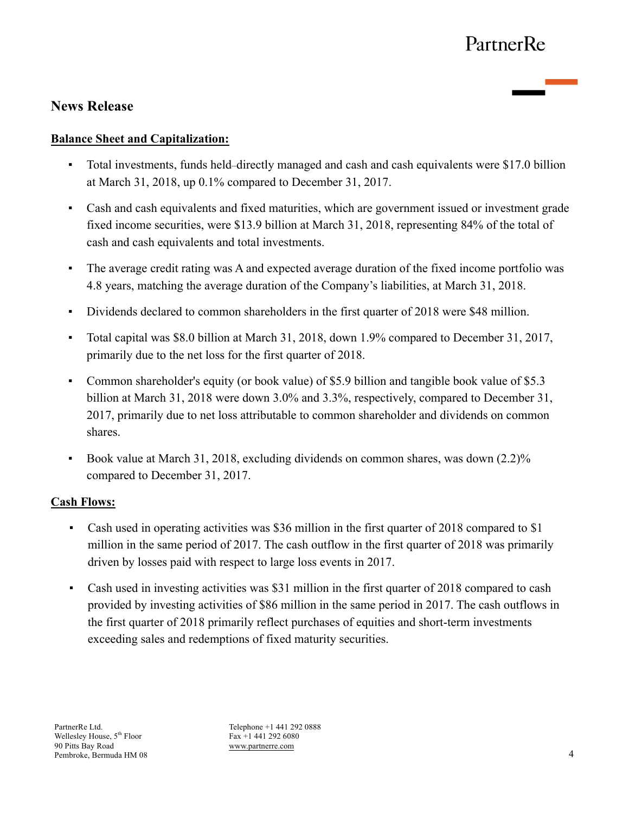# **News Release**

## **Balance Sheet and Capitalization:**

- Total investments, funds held–directly managed and cash and cash equivalents were \$17.0 billion at March 31, 2018, up 0.1% compared to December 31, 2017.
- Cash and cash equivalents and fixed maturities, which are government issued or investment grade fixed income securities, were \$13.9 billion at March 31, 2018, representing 84% of the total of cash and cash equivalents and total investments.
- The average credit rating was A and expected average duration of the fixed income portfolio was 4.8 years, matching the average duration of the Company's liabilities, at March 31, 2018.
- Dividends declared to common shareholders in the first quarter of 2018 were \$48 million.
- Total capital was \$8.0 billion at March 31, 2018, down 1.9% compared to December 31, 2017, primarily due to the net loss for the first quarter of 2018.
- Common shareholder's equity (or book value) of \$5.9 billion and tangible book value of \$5.3 billion at March 31, 2018 were down 3.0% and 3.3%, respectively, compared to December 31, 2017, primarily due to net loss attributable to common shareholder and dividends on common shares.
- Book value at March 31, 2018, excluding dividends on common shares, was down  $(2.2)$ % compared to December 31, 2017.

### **Cash Flows:**

- Cash used in operating activities was \$36 million in the first quarter of 2018 compared to \$1 million in the same period of 2017. The cash outflow in the first quarter of 2018 was primarily driven by losses paid with respect to large loss events in 2017.
- Cash used in investing activities was \$31 million in the first quarter of 2018 compared to cash provided by investing activities of \$86 million in the same period in 2017. The cash outflows in the first quarter of 2018 primarily reflect purchases of equities and short-term investments exceeding sales and redemptions of fixed maturity securities.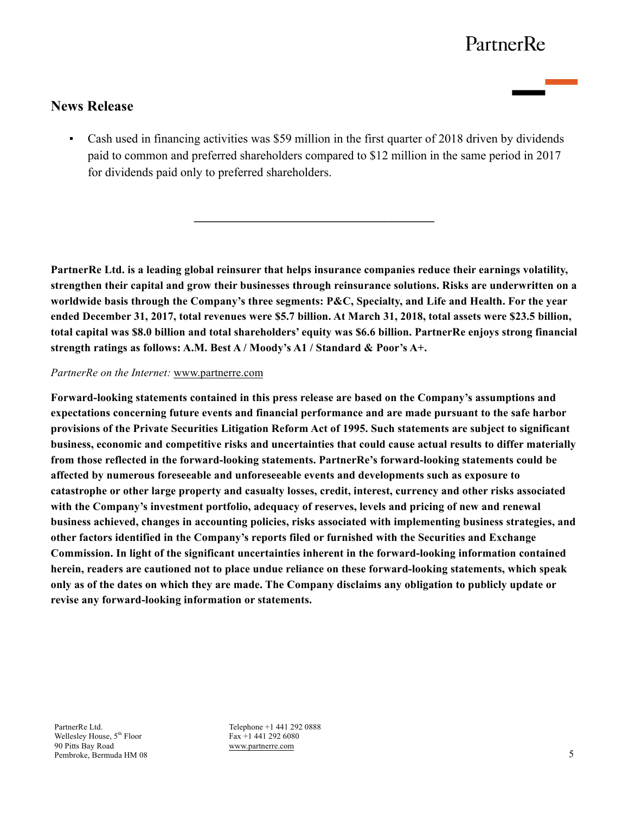# **News Release**

▪ Cash used in financing activities was \$59 million in the first quarter of 2018 driven by dividends paid to common and preferred shareholders compared to \$12 million in the same period in 2017 for dividends paid only to preferred shareholders.

 $\mathcal{L}=\{1,2,3,4,5\}$ 

**PartnerRe Ltd. is a leading global reinsurer that helps insurance companies reduce their earnings volatility, strengthen their capital and grow their businesses through reinsurance solutions. Risks are underwritten on a worldwide basis through the Company's three segments: P&C, Specialty, and Life and Health. For the year ended December 31, 2017, total revenues were \$5.7 billion. At March 31, 2018, total assets were \$23.5 billion, total capital was \$8.0 billion and total shareholders' equity was \$6.6 billion. PartnerRe enjoys strong financial strength ratings as follows: A.M. Best A / Moody's A1 / Standard & Poor's A+.**

#### *PartnerRe on the Internet:* www.partnerre.com

**Forward-looking statements contained in this press release are based on the Company's assumptions and expectations concerning future events and financial performance and are made pursuant to the safe harbor provisions of the Private Securities Litigation Reform Act of 1995. Such statements are subject to significant business, economic and competitive risks and uncertainties that could cause actual results to differ materially from those reflected in the forward-looking statements. PartnerRe's forward-looking statements could be affected by numerous foreseeable and unforeseeable events and developments such as exposure to catastrophe or other large property and casualty losses, credit, interest, currency and other risks associated with the Company's investment portfolio, adequacy of reserves, levels and pricing of new and renewal business achieved, changes in accounting policies, risks associated with implementing business strategies, and other factors identified in the Company's reports filed or furnished with the Securities and Exchange Commission. In light of the significant uncertainties inherent in the forward-looking information contained herein, readers are cautioned not to place undue reliance on these forward-looking statements, which speak only as of the dates on which they are made. The Company disclaims any obligation to publicly update or revise any forward-looking information or statements.**

PartnerRe Ltd. Wellesley House, 5<sup>th</sup> Floor 90 Pitts Bay Road Pembroke, Bermuda HM 08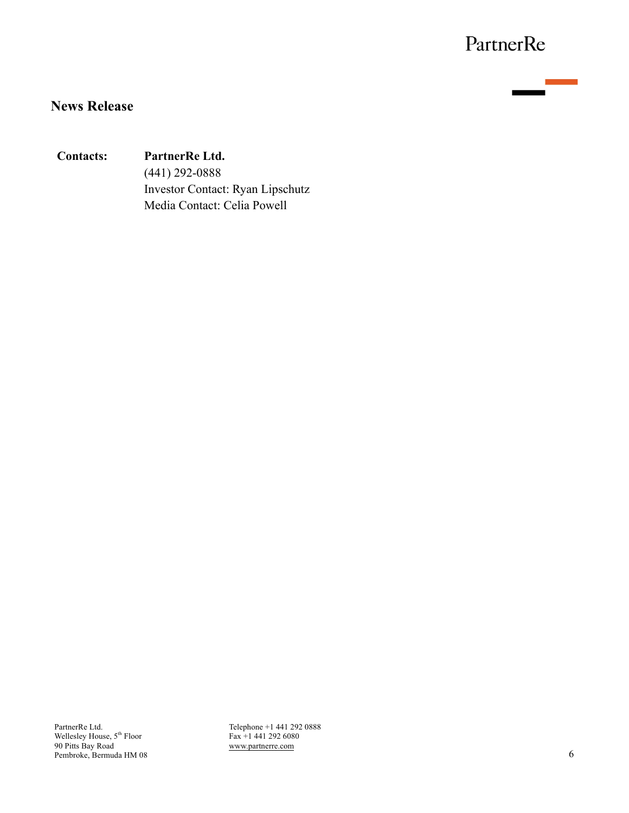# **News Release**

## **Contacts: PartnerRe Ltd.**

(441) 292-0888 Investor Contact: Ryan Lipschutz Media Contact: Celia Powell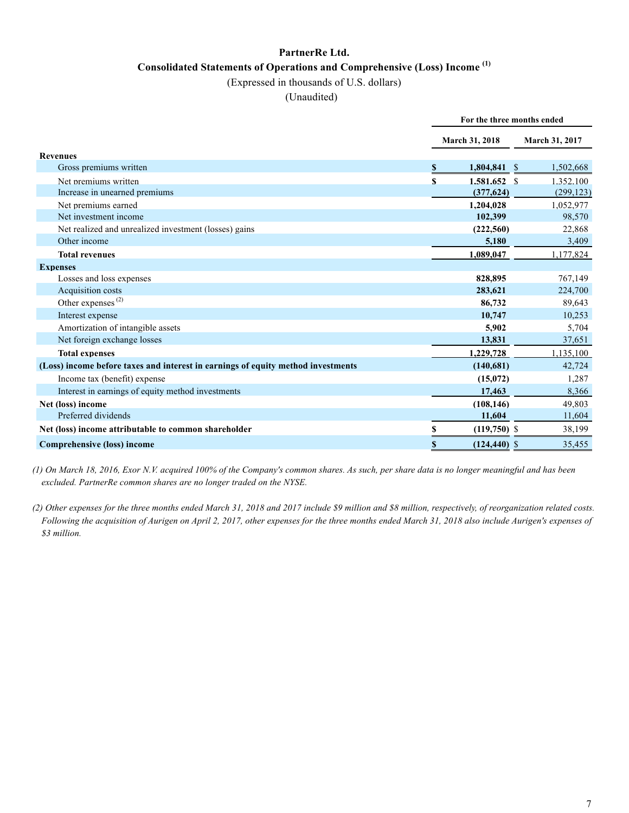# **PartnerRe Ltd. Consolidated Statements of Operations and Comprehensive (Loss) Income (1)**

#### (Expressed in thousands of U.S. dollars)

#### (Unaudited)

|                                                                                  | For the three months ended |                 |                 |            |  |
|----------------------------------------------------------------------------------|----------------------------|-----------------|-----------------|------------|--|
|                                                                                  |                            | March 31, 2018  | March 31, 2017  |            |  |
| <b>Revenues</b>                                                                  |                            |                 |                 |            |  |
| Gross premiums written                                                           | S                          | 1,804,841       | 1,502,668<br>-S |            |  |
| Net premiums written                                                             | \$                         | 1.581.652 \$    | 1.352.100       |            |  |
| Increase in unearned premiums                                                    |                            | (377, 624)      |                 | (299, 123) |  |
| Net premiums earned                                                              |                            | 1.204.028       | 1,052,977       |            |  |
| Net investment income                                                            |                            | 102,399         |                 | 98,570     |  |
| Net realized and unrealized investment (losses) gains                            |                            | (222, 560)      |                 | 22,868     |  |
| Other income                                                                     |                            | 5,180           |                 | 3,409      |  |
| <b>Total revenues</b>                                                            |                            | 1,089,047       |                 | 1,177,824  |  |
| <b>Expenses</b>                                                                  |                            |                 |                 |            |  |
| Losses and loss expenses                                                         |                            | 828,895         |                 | 767,149    |  |
| Acquisition costs                                                                |                            | 283,621         |                 | 224,700    |  |
| Other expenses $(2)$                                                             |                            | 86,732          |                 | 89,643     |  |
| Interest expense                                                                 |                            | 10,747          |                 | 10,253     |  |
| Amortization of intangible assets                                                |                            | 5,902           |                 | 5,704      |  |
| Net foreign exchange losses                                                      |                            | 13,831          |                 | 37,651     |  |
| <b>Total expenses</b>                                                            |                            | 1,229,728       | 1.135.100       |            |  |
| (Loss) income before taxes and interest in earnings of equity method investments |                            | (140, 681)      |                 | 42,724     |  |
| Income tax (benefit) expense                                                     |                            | (15,072)        |                 | 1,287      |  |
| Interest in earnings of equity method investments                                |                            | 17,463          |                 | 8,366      |  |
| Net (loss) income                                                                |                            | (108.146)       |                 | 49.803     |  |
| Preferred dividends                                                              |                            | 11,604          |                 | 11,604     |  |
| Net (loss) income attributable to common shareholder                             | \$                         | $(119,750)$ \$  |                 | 38,199     |  |
| Comprehensive (loss) income                                                      | \$                         | $(124, 440)$ \$ |                 | 35,455     |  |

*(1) On March 18, 2016, Exor N.V. acquired 100% of the Company's common shares. As such, per share data is no longer meaningful and has been excluded. PartnerRe common shares are no longer traded on the NYSE.*

*(2) Other expenses for the three months ended March 31, 2018 and 2017 include \$9 million and \$8 million, respectively, of reorganization related costs. Following the acquisition of Aurigen on April 2, 2017, other expenses for the three months ended March 31, 2018 also include Aurigen's expenses of \$3 million.*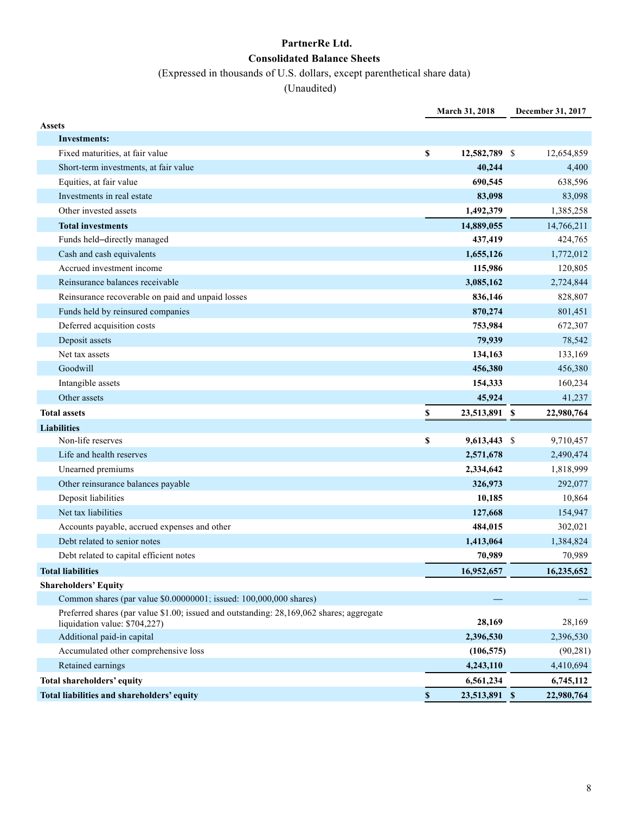## **PartnerRe Ltd. Consolidated Balance Sheets**

## (Expressed in thousands of U.S. dollars, except parenthetical share data)

|                                                                                                                           | March 31, 2018       | December 31, 2017 |
|---------------------------------------------------------------------------------------------------------------------------|----------------------|-------------------|
| <b>Assets</b>                                                                                                             |                      |                   |
| Investments:                                                                                                              |                      |                   |
| Fixed maturities, at fair value                                                                                           | \$<br>12,582,789 \$  | 12,654,859        |
| Short-term investments, at fair value                                                                                     | 40,244               | 4,400             |
| Equities, at fair value                                                                                                   | 690,545              | 638,596           |
| Investments in real estate                                                                                                | 83,098               | 83,098            |
| Other invested assets                                                                                                     | 1,492,379            | 1,385,258         |
| <b>Total investments</b>                                                                                                  | 14,889,055           | 14,766,211        |
| Funds held-directly managed                                                                                               | 437,419              | 424,765           |
| Cash and cash equivalents                                                                                                 | 1,655,126            | 1,772,012         |
| Accrued investment income                                                                                                 | 115,986              | 120,805           |
| Reinsurance balances receivable                                                                                           | 3,085,162            | 2,724,844         |
| Reinsurance recoverable on paid and unpaid losses                                                                         | 836,146              | 828,807           |
| Funds held by reinsured companies                                                                                         | 870,274              | 801,451           |
| Deferred acquisition costs                                                                                                | 753,984              | 672,307           |
| Deposit assets                                                                                                            | 79,939               | 78,542            |
| Net tax assets                                                                                                            | 134,163              | 133,169           |
| Goodwill                                                                                                                  | 456,380              | 456,380           |
| Intangible assets                                                                                                         | 154,333              | 160,234           |
| Other assets                                                                                                              | 45,924               | 41,237            |
| <b>Total assets</b>                                                                                                       | \$<br>23,513,891 \$  | 22,980,764        |
|                                                                                                                           |                      |                   |
| <b>Liabilities</b>                                                                                                        |                      |                   |
| Non-life reserves                                                                                                         | \$<br>$9,613,443$ \$ | 9,710,457         |
| Life and health reserves                                                                                                  | 2,571,678            | 2,490,474         |
| Unearned premiums                                                                                                         | 2,334,642            | 1,818,999         |
| Other reinsurance balances payable                                                                                        | 326,973              | 292,077           |
| Deposit liabilities                                                                                                       | 10,185               | 10,864            |
| Net tax liabilities                                                                                                       | 127,668              | 154,947           |
| Accounts payable, accrued expenses and other                                                                              | 484,015              | 302,021           |
| Debt related to senior notes                                                                                              | 1,413,064            | 1,384,824         |
| Debt related to capital efficient notes                                                                                   | 70,989               | 70,989            |
| <b>Total liabilities</b>                                                                                                  | 16,952,657           | 16,235,652        |
| <b>Shareholders' Equity</b>                                                                                               |                      |                   |
| Common shares (par value \$0.00000001; issued: 100,000,000 shares)                                                        |                      |                   |
| Preferred shares (par value \$1.00; issued and outstanding: 28,169,062 shares; aggregate<br>liquidation value: \$704,227) | 28,169               | 28,169            |
| Additional paid-in capital                                                                                                | 2,396,530            | 2,396,530         |
| Accumulated other comprehensive loss                                                                                      | (106, 575)           | (90, 281)         |
| Retained earnings                                                                                                         | 4,243,110            | 4,410,694         |
| Total shareholders' equity                                                                                                | 6,561,234            | 6,745,112         |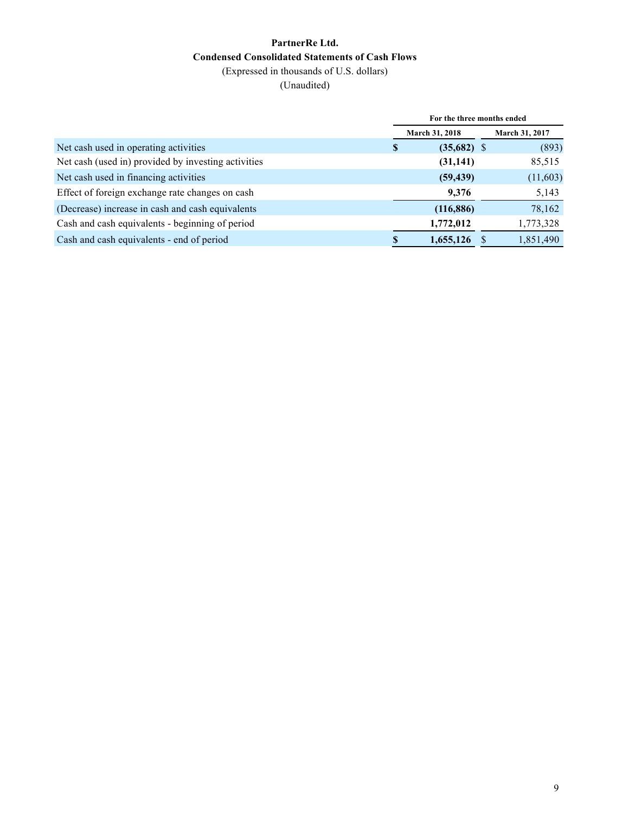## **PartnerRe Ltd. Condensed Consolidated Statements of Cash Flows** (Expressed in thousands of U.S. dollars)

|                                                     | For the three months ended |               |  |                |  |  |  |
|-----------------------------------------------------|----------------------------|---------------|--|----------------|--|--|--|
|                                                     | <b>March 31, 2018</b>      |               |  | March 31, 2017 |  |  |  |
| Net cash used in operating activities               | S                          | $(35,682)$ \$ |  | (893)          |  |  |  |
| Net cash (used in) provided by investing activities |                            | (31, 141)     |  | 85,515         |  |  |  |
| Net cash used in financing activities               |                            | (59, 439)     |  | (11,603)       |  |  |  |
| Effect of foreign exchange rate changes on cash     |                            | 9,376         |  | 5,143          |  |  |  |
| (Decrease) increase in cash and cash equivalents    |                            | (116, 886)    |  | 78,162         |  |  |  |
| Cash and cash equivalents - beginning of period     |                            | 1,772,012     |  | 1,773,328      |  |  |  |
| Cash and cash equivalents - end of period           |                            | 1,655,126     |  | 1,851,490      |  |  |  |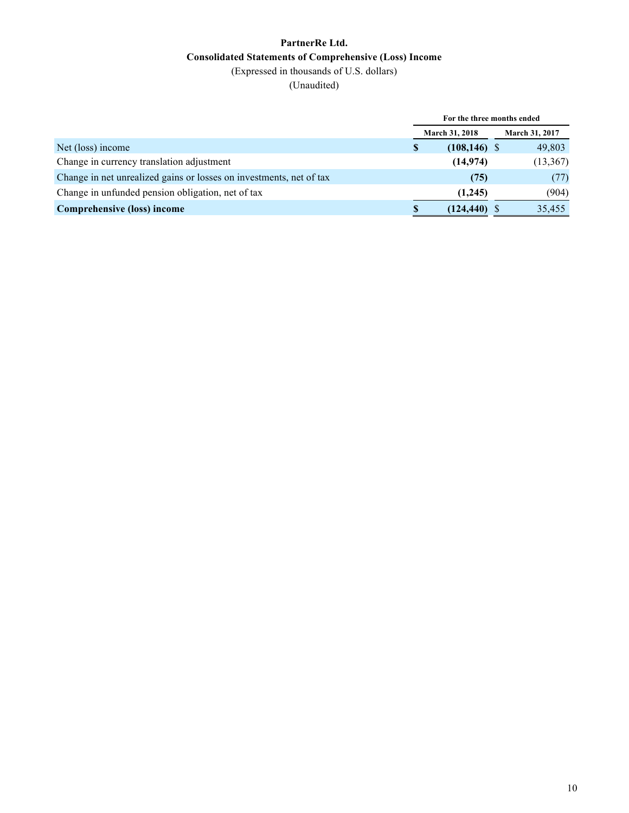### **PartnerRe Ltd. Consolidated Statements of Comprehensive (Loss) Income** (Expressed in thousands of U.S. dollars)

|                                                                     | For the three months ended |                 |  |                       |  |  |  |
|---------------------------------------------------------------------|----------------------------|-----------------|--|-----------------------|--|--|--|
|                                                                     | <b>March 31, 2018</b>      |                 |  | <b>March 31, 2017</b> |  |  |  |
| Net (loss) income                                                   | \$                         | $(108, 146)$ \$ |  | 49,803                |  |  |  |
| Change in currency translation adjustment                           |                            | (14, 974)       |  | (13, 367)             |  |  |  |
| Change in net unrealized gains or losses on investments, net of tax |                            | (75)            |  | (77)                  |  |  |  |
| Change in unfunded pension obligation, net of tax                   |                            | (1,245)         |  | (904)                 |  |  |  |
| Comprehensive (loss) income                                         | <b>S</b>                   | (124, 440)      |  | 35,455                |  |  |  |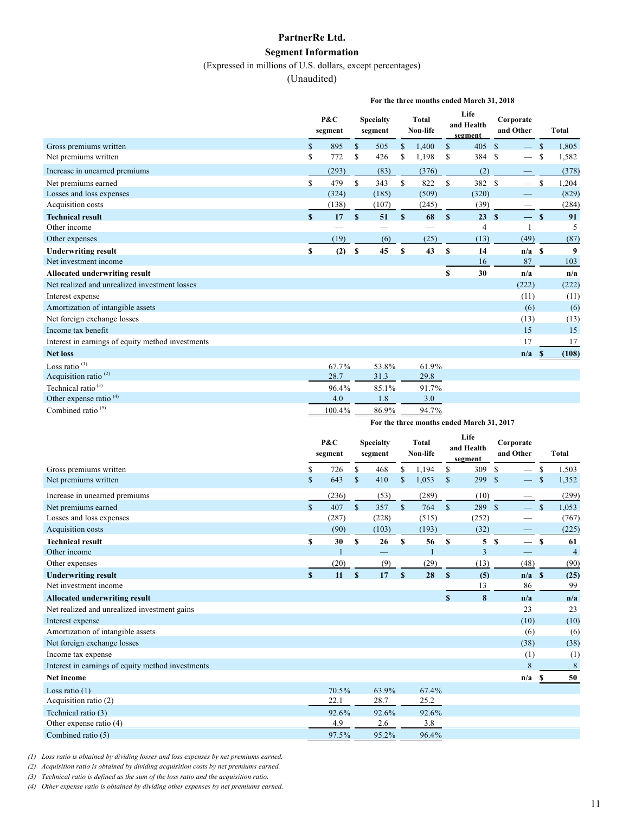#### **PartnerRe Ltd.**

#### **Segment Information**

(Expressed in millions of U.S. dollars, except percentages)

#### (Unaudited)

**For the three months ended March 31, 2018**

|                                                   |              | $P\&C$<br>segment |              | <b>Specialty</b><br>segment |             | <b>Total</b><br>Non-life |              | Life<br>and Health<br>segment |                    | Corporate<br>and Other   |               | <b>Total</b>     |
|---------------------------------------------------|--------------|-------------------|--------------|-----------------------------|-------------|--------------------------|--------------|-------------------------------|--------------------|--------------------------|---------------|------------------|
| Gross premiums written                            | \$           | 895               | $\mathbf S$  | 505                         | \$          | 1.400                    | $\mathbf{s}$ | 405                           | $\mathbf{\hat{s}}$ |                          | -S            | 1,805            |
| Net premiums written                              | \$           | 772               | \$           | 426                         | \$          | 1,198                    | S            | 384 \$                        |                    | $\overline{\phantom{0}}$ | \$.           | 1,582            |
| Increase in unearned premiums                     |              | (293)             |              | (83)                        |             | (376)                    |              | (2)                           |                    |                          |               | (378)            |
| Net premiums earned                               | \$           | 479               | $\mathbf{s}$ | 343                         | $\mathbf S$ | 822                      | $\mathbb{S}$ | 382 \$                        |                    |                          | <sup>\$</sup> | 1,204            |
| Losses and loss expenses                          |              | (324)             |              | (185)                       |             | (509)                    |              | (320)                         |                    |                          |               | (829)            |
| Acquisition costs                                 |              | (138)             |              | (107)                       |             | (245)                    |              | (39)                          |                    |                          |               | (284)            |
| <b>Technical result</b>                           | $\mathbf{s}$ | 17                | S            | 51                          | S           | 68                       | $\mathbf{s}$ | 23                            | S                  | $-$ s                    |               | 91               |
| Other income                                      |              |                   |              |                             |             |                          |              | 4                             |                    |                          |               | 5                |
| Other expenses                                    |              | (19)              |              | (6)                         |             | (25)                     |              | (13)                          |                    | (49)                     |               | (87)             |
| <b>Underwriting result</b>                        | \$           | (2)               | <b>S</b>     | 45                          | $\mathbf S$ | 43                       | $\mathbf{s}$ | 14                            |                    | $n/a$ \$                 |               | $\boldsymbol{9}$ |
| Net investment income                             |              |                   |              |                             |             |                          |              | 16                            |                    | 87                       |               | 103              |
| Allocated underwriting result                     |              |                   |              |                             |             |                          | \$           | 30                            |                    | n/a                      |               | n/a              |
| Net realized and unrealized investment losses     |              |                   |              |                             |             |                          |              |                               |                    | (222)                    |               | (222)            |
| Interest expense                                  |              |                   |              |                             |             |                          |              |                               |                    | (11)                     |               | (11)             |
| Amortization of intangible assets                 |              |                   |              |                             |             |                          |              |                               |                    | (6)                      |               | (6)              |
| Net foreign exchange losses                       |              |                   |              |                             |             |                          |              |                               |                    | (13)                     |               | (13)             |
| Income tax benefit                                |              |                   |              |                             |             |                          |              |                               |                    | 15                       |               | 15               |
| Interest in earnings of equity method investments |              |                   |              |                             |             |                          |              |                               |                    | 17                       |               | 17               |
| <b>Net loss</b>                                   |              |                   |              |                             |             |                          |              |                               |                    | n/a                      |               | (108)            |
| Loss ratio <sup>(1)</sup>                         |              | 67.7%             |              | 53.8%                       |             | 61.9%                    |              |                               |                    |                          |               |                  |
| Acquisition ratio $(2)$                           |              | 28.7              |              | 31.3                        |             | 29.8                     |              |                               |                    |                          |               |                  |
| Technical ratio $^{(3)}$                          |              | 96.4%             |              | 85.1%                       |             | 91.7%                    |              |                               |                    |                          |               |                  |
| Other expense ratio <sup>(4)</sup>                |              | 4.0               |              | 1.8                         |             | 3.0                      |              |                               |                    |                          |               |                  |
| Combined ratio <sup>(5)</sup>                     |              | 100.4%            |              | 86.9%                       |             | 94.7%                    |              |                               |                    |                          |               |                  |

#### **For the three months ended March 31, 2017**

|                                                   |                    | P&C<br>segment |               | <b>Specialty</b><br>segment |             | <b>Total</b><br>Non-life |                    | Life<br>and Health<br>segment | Corporate<br>and Other                         |              | <b>Total</b>   |
|---------------------------------------------------|--------------------|----------------|---------------|-----------------------------|-------------|--------------------------|--------------------|-------------------------------|------------------------------------------------|--------------|----------------|
| Gross premiums written                            | \$                 | 726            | \$            | 468                         | S.          | 1.194                    | \$                 | 309                           | <sup>\$</sup><br>$\overline{\phantom{0}}$      | S            | 1,503          |
| Net premiums written                              | \$                 | 643            | <sup>\$</sup> | 410                         | S           | 1,053                    | <sup>\$</sup>      | 299                           | $\mathbf{\hat{s}}$<br>$\overline{\phantom{0}}$ | S            | 1,352          |
| Increase in unearned premiums                     |                    | (236)          |               | (53)                        |             | (289)                    |                    | (10)                          |                                                |              | (299)          |
| Net premiums earned                               | $\mathbf{\hat{s}}$ | 407            | $\mathbf S$   | 357                         | $\mathbf S$ | 764                      | $\mathbf{\hat{s}}$ | 289                           | $\mathcal{S}$<br>$\qquad \qquad$               | -S           | 1,053          |
| Losses and loss expenses                          |                    | (287)          |               | (228)                       |             | (515)                    |                    | (252)                         |                                                |              | (767)          |
| Acquisition costs                                 |                    | (90)           |               | (103)                       |             | (193)                    |                    | (32)                          |                                                |              | (225)          |
| <b>Technical result</b>                           | S.                 | 30             | S             | 26                          | S           | 56                       | $\mathbf{s}$       | 5                             | S<br>$\overline{\phantom{0}}$                  | $\mathbf{s}$ | 61             |
| Other income                                      |                    |                |               |                             |             |                          |                    | 3                             |                                                |              | $\overline{4}$ |
| Other expenses                                    |                    | (20)           |               | (9)                         |             | (29)                     |                    | (13)                          | (48)                                           |              | (90)           |
| <b>Underwriting result</b>                        | $\mathbf{s}$       | 11             | S             | 17                          | S           | 28                       | $\mathbf{s}$       | (5)                           | $n/a$ \$                                       |              | (25)           |
| Net investment income                             |                    |                |               |                             |             |                          |                    | 13                            | 86                                             |              | 99             |
| <b>Allocated underwriting result</b>              |                    |                |               |                             |             |                          | $\mathbf S$        | 8                             | n/a                                            |              | n/a            |
| Net realized and unrealized investment gains      |                    |                |               |                             |             |                          |                    |                               | 23                                             |              | 23             |
| Interest expense                                  |                    |                |               |                             |             |                          |                    |                               | (10)                                           |              | (10)           |
| Amortization of intangible assets                 |                    |                |               |                             |             |                          |                    |                               | (6)                                            |              | (6)            |
| Net foreign exchange losses                       |                    |                |               |                             |             |                          |                    |                               | (38)                                           |              | (38)           |
| Income tax expense                                |                    |                |               |                             |             |                          |                    |                               | (1)                                            |              | (1)            |
| Interest in earnings of equity method investments |                    |                |               |                             |             |                          |                    |                               | 8                                              |              | 8              |
| <b>Net income</b>                                 |                    |                |               |                             |             |                          |                    |                               | n/a                                            |              | 50             |
| Loss ratio $(1)$                                  |                    | 70.5%          |               | 63.9%                       |             | 67.4%                    |                    |                               |                                                |              |                |
| Acquisition ratio (2)                             |                    | 22.1           |               | 28.7                        |             | 25.2                     |                    |                               |                                                |              |                |
| Technical ratio (3)                               |                    | 92.6%          |               | 92.6%                       |             | 92.6%                    |                    |                               |                                                |              |                |
| Other expense ratio (4)                           |                    | 4.9            |               | 2.6                         |             | 3.8                      |                    |                               |                                                |              |                |
| Combined ratio (5)                                |                    | 97.5%          |               | 95.2%                       |             | 96.4%                    |                    |                               |                                                |              |                |

*(1) Loss ratio is obtained by dividing losses and loss expenses by net premiums earned.* 

*(2) Acquisition ratio is obtained by dividing acquisition costs by net premiums earned.* 

*(3) Technical ratio is defined as the sum of the loss ratio and the acquisition ratio.* 

*(4) Other expense ratio is obtained by dividing other expenses by net premiums earned.*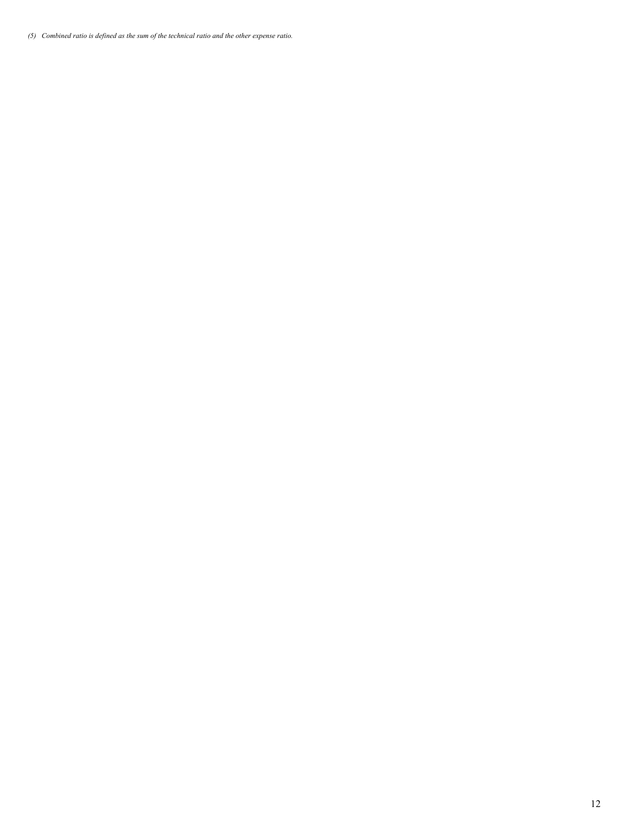*(5) Combined ratio is defined as the sum of the technical ratio and the other expense ratio.*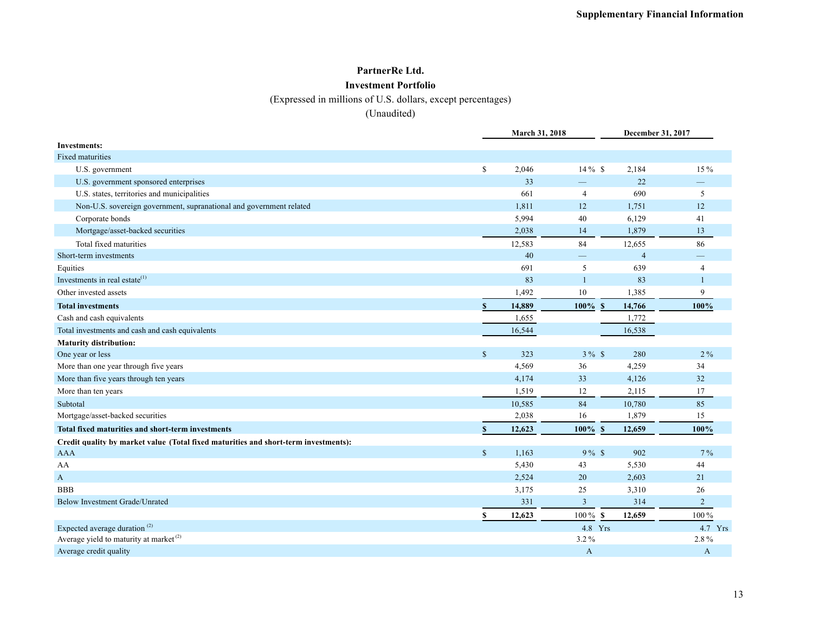# **PartnerRe Ltd.**

### **Investment Portfolio**

(Expressed in millions of U.S. dollars, except percentages)

|                                                                                     |              | March 31, 2018 |                | December 31, 2017 |                |
|-------------------------------------------------------------------------------------|--------------|----------------|----------------|-------------------|----------------|
| <b>Investments:</b>                                                                 |              |                |                |                   |                |
| <b>Fixed maturities</b>                                                             |              |                |                |                   |                |
| U.S. government                                                                     | \$           | 2,046          | $14\%$ \$      | 2,184             | 15%            |
| U.S. government sponsored enterprises                                               |              | 33             |                | 22                |                |
| U.S. states, territories and municipalities                                         |              | 661            | $\overline{4}$ | 690               | 5              |
| Non-U.S. sovereign government, supranational and government related                 |              | 1,811          | 12             | 1,751             | 12             |
| Corporate bonds                                                                     |              | 5,994          | 40             | 6,129             | 41             |
| Mortgage/asset-backed securities                                                    |              | 2,038          | 14             | 1,879             | 13             |
| Total fixed maturities                                                              |              | 12,583         | 84             | 12,655            | 86             |
| Short-term investments                                                              |              | 40             |                | $\overline{4}$    |                |
| Equities                                                                            |              | 691            | 5              | 639               | $\overline{4}$ |
| Investments in real estate $(1)$                                                    |              | 83             | $\mathbf{1}$   | 83                | $\mathbf{1}$   |
| Other invested assets                                                               |              | 1,492          | 10             | 1,385             | 9              |
| <b>Total investments</b>                                                            |              | 14,889         | $100\%$ \$     | 14,766            | 100%           |
| Cash and cash equivalents                                                           |              | 1,655          |                | 1,772             |                |
| Total investments and cash and cash equivalents                                     |              | 16,544         |                | 16,538            |                |
| <b>Maturity distribution:</b>                                                       |              |                |                |                   |                |
| One year or less                                                                    | $\mathbb{S}$ | 323            | $3\%$ \$       | 280               | $2\%$          |
| More than one year through five years                                               |              | 4,569          | 36             | 4,259             | 34             |
| More than five years through ten years                                              |              | 4,174          | 33             | 4,126             | 32             |
| More than ten years                                                                 |              | 1,519          | 12             | 2,115             | 17             |
| Subtotal                                                                            |              | 10,585         | 84             | 10,780            | 85             |
| Mortgage/asset-backed securities                                                    |              | 2,038          | 16             | 1,879             | 15             |
| Total fixed maturities and short-term investments                                   |              | 12,623         | 100%<br>S      | 12,659            | 100%           |
| Credit quality by market value (Total fixed maturities and short-term investments): |              |                |                |                   |                |
| AAA                                                                                 | $\mathbb{S}$ | 1,163          | $9\%$ \$       | 902               | $7\%$          |
| AA                                                                                  |              | 5,430          | 43             | 5,530             | 44             |
| A                                                                                   |              | 2,524          | 20             | 2,603             | 21             |
| <b>BBB</b>                                                                          |              | 3,175          | 25             | 3,310             | 26             |
| Below Investment Grade/Unrated                                                      |              | 331            | $\mathfrak{Z}$ | 314               | $\overline{2}$ |
|                                                                                     |              | 12,623         | $100\%$ \$     | 12,659            | 100%           |
| Expected average duration <sup>(2)</sup>                                            |              |                | 4.8 Yrs        |                   | 4.7 Yrs        |
| Average yield to maturity at market $^{(2)}$                                        |              |                | $3.2\%$        |                   | 2.8%           |
| Average credit quality                                                              |              |                | A              |                   | A              |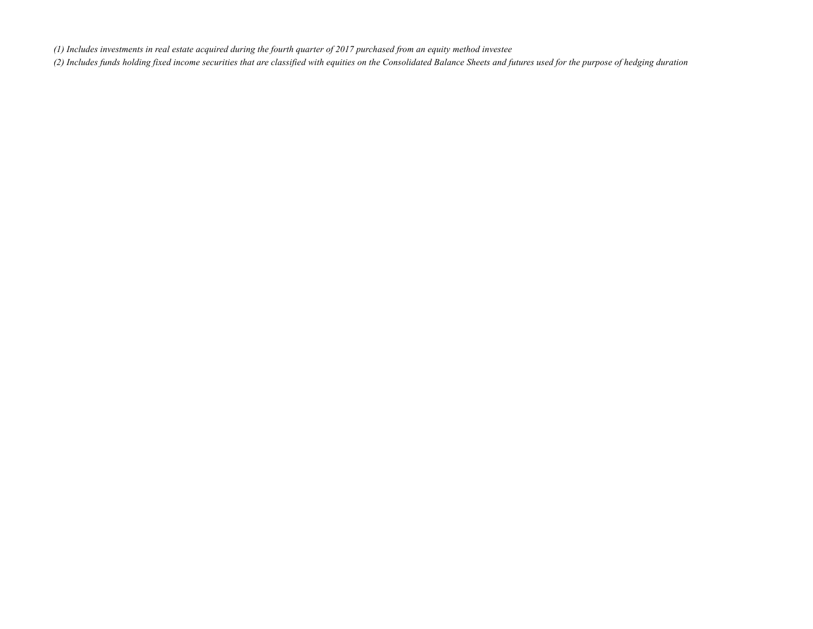*(1) Includes investments in real estate acquired during the fourth quarter of 2017 purchased from an equity method investee*

*(2) Includes funds holding fixed income securities that are classified with equities on the Consolidated Balance Sheets and futures used for the purpose of hedging duration*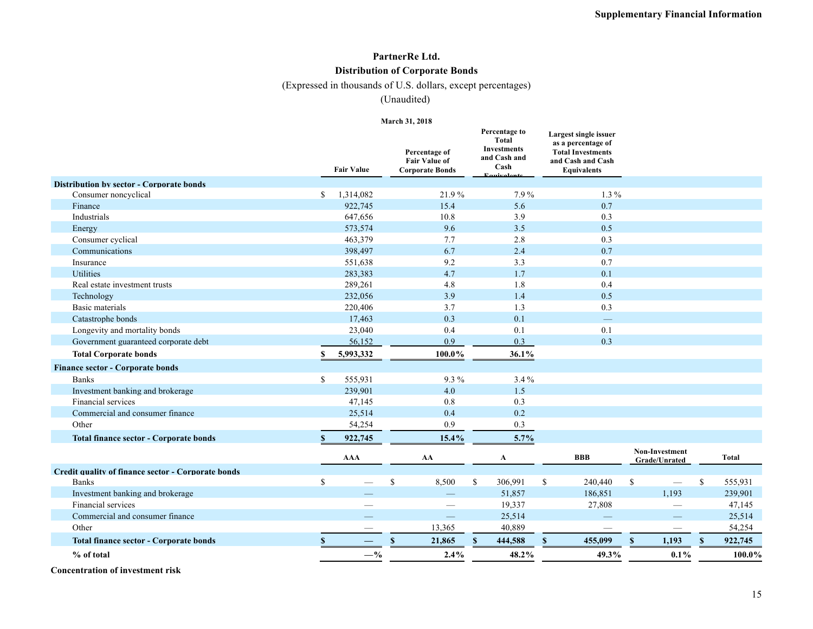#### **PartnerRe Ltd. Distribution of Corporate Bonds**

(Expressed in thousands of U.S. dollars, except percentages)

(Unaudited)

#### **March 31, 2018**

| <b>Distribution by sector - Corporate bonds</b><br>$\mathcal{S}$<br>1,314,082<br>7.9%<br>$1.3\%$<br>Consumer noncyclical<br>21.9%<br>922,745<br>15.4<br>5.6<br>0.7<br>Finance<br>647,656<br>Industrials<br>10.8<br>3.9<br>0.3<br>573,574<br>9.6<br>0.5<br>3.5<br>Energy<br>463,379<br>2.8<br>0.3<br>Consumer cyclical<br>7.7<br>Communications<br>398,497<br>6.7<br>2.4<br>0.7<br>551,638<br>9.2<br>3.3<br>0.7<br>Insurance<br><b>Utilities</b><br>283,383<br>4.7<br>1.7<br>0.1<br>289,261<br>1.8<br>0.4<br>4.8<br>Real estate investment trusts<br>232,056<br>3.9<br>1.4<br>0.5<br>Technology<br><b>Basic materials</b><br>1.3<br>0.3<br>220,406<br>3.7<br>17,463<br>0.3<br>0.1<br>Catastrophe bonds<br>$\overline{\phantom{0}}$<br>0.4<br>0.1<br>0.1<br>Longevity and mortality bonds<br>23,040<br>0.3<br>0.9<br>0.3<br>Government guaranteed corporate debt<br>56,152<br>5,993,332<br>100.0%<br>36.1%<br><b>Total Corporate bonds</b><br><b>Finance sector - Corporate bonds</b><br>\$<br>9.3%<br>3.4%<br><b>Banks</b><br>555,931<br>Investment banking and brokerage<br>239,901<br>4.0<br>1.5<br>Financial services<br>47,145<br>0.8<br>0.3<br>0.2<br>Commercial and consumer finance<br>25,514<br>0.4<br>0.9<br>0.3<br>Other<br>54,254<br>15.4%<br>5.7%<br>922,745<br><b>Total finance sector - Corporate bonds</b><br>\$<br>Non-Investment<br><b>AAA</b><br><b>BBB</b><br>AA<br>$\mathbf A$<br>Grade/Unrated<br>Credit quality of finance sector - Corporate bonds<br>\$<br>$\mathbb{S}$<br>8,500<br>\$<br>306,991<br>\$<br>\$<br>$\mathbb{S}$<br><b>Banks</b><br>240,440<br>$\overline{\phantom{m}}$<br>1,193<br>Investment banking and brokerage<br>51,857<br>186,851<br>$\overline{\phantom{0}}$<br>Financial services<br>19,337<br>27,808<br>Commercial and consumer finance<br>25,514<br>13,365<br>40,889<br>Other<br>$\$$<br>$\mathbf{s}$<br>455,099<br>$\mathbf{\hat{S}}$<br>1,193<br><b>Total finance sector - Corporate bonds</b><br>21,865<br>\$<br>444,588<br>$-$ %<br>48.2%<br>$0.1\%$<br>% of total<br>2.4%<br>49.3% |  | <b>Fair Value</b> | Percentage of<br><b>Fair Value of</b><br><b>Corporate Bonds</b> | Percentage to<br><b>Total</b><br>Investments<br>and Cash and<br>Cash | Largest single issuer<br>as a percentage of<br><b>Total Investments</b><br>and Cash and Cash<br><b>Equivalents</b> |  |              |
|-----------------------------------------------------------------------------------------------------------------------------------------------------------------------------------------------------------------------------------------------------------------------------------------------------------------------------------------------------------------------------------------------------------------------------------------------------------------------------------------------------------------------------------------------------------------------------------------------------------------------------------------------------------------------------------------------------------------------------------------------------------------------------------------------------------------------------------------------------------------------------------------------------------------------------------------------------------------------------------------------------------------------------------------------------------------------------------------------------------------------------------------------------------------------------------------------------------------------------------------------------------------------------------------------------------------------------------------------------------------------------------------------------------------------------------------------------------------------------------------------------------------------------------------------------------------------------------------------------------------------------------------------------------------------------------------------------------------------------------------------------------------------------------------------------------------------------------------------------------------------------------------------------------------------------------------------------------------------------------------------------------------------------------------|--|-------------------|-----------------------------------------------------------------|----------------------------------------------------------------------|--------------------------------------------------------------------------------------------------------------------|--|--------------|
|                                                                                                                                                                                                                                                                                                                                                                                                                                                                                                                                                                                                                                                                                                                                                                                                                                                                                                                                                                                                                                                                                                                                                                                                                                                                                                                                                                                                                                                                                                                                                                                                                                                                                                                                                                                                                                                                                                                                                                                                                                         |  |                   |                                                                 |                                                                      |                                                                                                                    |  |              |
|                                                                                                                                                                                                                                                                                                                                                                                                                                                                                                                                                                                                                                                                                                                                                                                                                                                                                                                                                                                                                                                                                                                                                                                                                                                                                                                                                                                                                                                                                                                                                                                                                                                                                                                                                                                                                                                                                                                                                                                                                                         |  |                   |                                                                 |                                                                      |                                                                                                                    |  |              |
|                                                                                                                                                                                                                                                                                                                                                                                                                                                                                                                                                                                                                                                                                                                                                                                                                                                                                                                                                                                                                                                                                                                                                                                                                                                                                                                                                                                                                                                                                                                                                                                                                                                                                                                                                                                                                                                                                                                                                                                                                                         |  |                   |                                                                 |                                                                      |                                                                                                                    |  |              |
|                                                                                                                                                                                                                                                                                                                                                                                                                                                                                                                                                                                                                                                                                                                                                                                                                                                                                                                                                                                                                                                                                                                                                                                                                                                                                                                                                                                                                                                                                                                                                                                                                                                                                                                                                                                                                                                                                                                                                                                                                                         |  |                   |                                                                 |                                                                      |                                                                                                                    |  |              |
|                                                                                                                                                                                                                                                                                                                                                                                                                                                                                                                                                                                                                                                                                                                                                                                                                                                                                                                                                                                                                                                                                                                                                                                                                                                                                                                                                                                                                                                                                                                                                                                                                                                                                                                                                                                                                                                                                                                                                                                                                                         |  |                   |                                                                 |                                                                      |                                                                                                                    |  |              |
|                                                                                                                                                                                                                                                                                                                                                                                                                                                                                                                                                                                                                                                                                                                                                                                                                                                                                                                                                                                                                                                                                                                                                                                                                                                                                                                                                                                                                                                                                                                                                                                                                                                                                                                                                                                                                                                                                                                                                                                                                                         |  |                   |                                                                 |                                                                      |                                                                                                                    |  |              |
|                                                                                                                                                                                                                                                                                                                                                                                                                                                                                                                                                                                                                                                                                                                                                                                                                                                                                                                                                                                                                                                                                                                                                                                                                                                                                                                                                                                                                                                                                                                                                                                                                                                                                                                                                                                                                                                                                                                                                                                                                                         |  |                   |                                                                 |                                                                      |                                                                                                                    |  |              |
|                                                                                                                                                                                                                                                                                                                                                                                                                                                                                                                                                                                                                                                                                                                                                                                                                                                                                                                                                                                                                                                                                                                                                                                                                                                                                                                                                                                                                                                                                                                                                                                                                                                                                                                                                                                                                                                                                                                                                                                                                                         |  |                   |                                                                 |                                                                      |                                                                                                                    |  |              |
|                                                                                                                                                                                                                                                                                                                                                                                                                                                                                                                                                                                                                                                                                                                                                                                                                                                                                                                                                                                                                                                                                                                                                                                                                                                                                                                                                                                                                                                                                                                                                                                                                                                                                                                                                                                                                                                                                                                                                                                                                                         |  |                   |                                                                 |                                                                      |                                                                                                                    |  |              |
|                                                                                                                                                                                                                                                                                                                                                                                                                                                                                                                                                                                                                                                                                                                                                                                                                                                                                                                                                                                                                                                                                                                                                                                                                                                                                                                                                                                                                                                                                                                                                                                                                                                                                                                                                                                                                                                                                                                                                                                                                                         |  |                   |                                                                 |                                                                      |                                                                                                                    |  |              |
|                                                                                                                                                                                                                                                                                                                                                                                                                                                                                                                                                                                                                                                                                                                                                                                                                                                                                                                                                                                                                                                                                                                                                                                                                                                                                                                                                                                                                                                                                                                                                                                                                                                                                                                                                                                                                                                                                                                                                                                                                                         |  |                   |                                                                 |                                                                      |                                                                                                                    |  |              |
|                                                                                                                                                                                                                                                                                                                                                                                                                                                                                                                                                                                                                                                                                                                                                                                                                                                                                                                                                                                                                                                                                                                                                                                                                                                                                                                                                                                                                                                                                                                                                                                                                                                                                                                                                                                                                                                                                                                                                                                                                                         |  |                   |                                                                 |                                                                      |                                                                                                                    |  |              |
|                                                                                                                                                                                                                                                                                                                                                                                                                                                                                                                                                                                                                                                                                                                                                                                                                                                                                                                                                                                                                                                                                                                                                                                                                                                                                                                                                                                                                                                                                                                                                                                                                                                                                                                                                                                                                                                                                                                                                                                                                                         |  |                   |                                                                 |                                                                      |                                                                                                                    |  |              |
|                                                                                                                                                                                                                                                                                                                                                                                                                                                                                                                                                                                                                                                                                                                                                                                                                                                                                                                                                                                                                                                                                                                                                                                                                                                                                                                                                                                                                                                                                                                                                                                                                                                                                                                                                                                                                                                                                                                                                                                                                                         |  |                   |                                                                 |                                                                      |                                                                                                                    |  |              |
|                                                                                                                                                                                                                                                                                                                                                                                                                                                                                                                                                                                                                                                                                                                                                                                                                                                                                                                                                                                                                                                                                                                                                                                                                                                                                                                                                                                                                                                                                                                                                                                                                                                                                                                                                                                                                                                                                                                                                                                                                                         |  |                   |                                                                 |                                                                      |                                                                                                                    |  |              |
|                                                                                                                                                                                                                                                                                                                                                                                                                                                                                                                                                                                                                                                                                                                                                                                                                                                                                                                                                                                                                                                                                                                                                                                                                                                                                                                                                                                                                                                                                                                                                                                                                                                                                                                                                                                                                                                                                                                                                                                                                                         |  |                   |                                                                 |                                                                      |                                                                                                                    |  |              |
|                                                                                                                                                                                                                                                                                                                                                                                                                                                                                                                                                                                                                                                                                                                                                                                                                                                                                                                                                                                                                                                                                                                                                                                                                                                                                                                                                                                                                                                                                                                                                                                                                                                                                                                                                                                                                                                                                                                                                                                                                                         |  |                   |                                                                 |                                                                      |                                                                                                                    |  |              |
|                                                                                                                                                                                                                                                                                                                                                                                                                                                                                                                                                                                                                                                                                                                                                                                                                                                                                                                                                                                                                                                                                                                                                                                                                                                                                                                                                                                                                                                                                                                                                                                                                                                                                                                                                                                                                                                                                                                                                                                                                                         |  |                   |                                                                 |                                                                      |                                                                                                                    |  |              |
|                                                                                                                                                                                                                                                                                                                                                                                                                                                                                                                                                                                                                                                                                                                                                                                                                                                                                                                                                                                                                                                                                                                                                                                                                                                                                                                                                                                                                                                                                                                                                                                                                                                                                                                                                                                                                                                                                                                                                                                                                                         |  |                   |                                                                 |                                                                      |                                                                                                                    |  |              |
|                                                                                                                                                                                                                                                                                                                                                                                                                                                                                                                                                                                                                                                                                                                                                                                                                                                                                                                                                                                                                                                                                                                                                                                                                                                                                                                                                                                                                                                                                                                                                                                                                                                                                                                                                                                                                                                                                                                                                                                                                                         |  |                   |                                                                 |                                                                      |                                                                                                                    |  |              |
|                                                                                                                                                                                                                                                                                                                                                                                                                                                                                                                                                                                                                                                                                                                                                                                                                                                                                                                                                                                                                                                                                                                                                                                                                                                                                                                                                                                                                                                                                                                                                                                                                                                                                                                                                                                                                                                                                                                                                                                                                                         |  |                   |                                                                 |                                                                      |                                                                                                                    |  |              |
|                                                                                                                                                                                                                                                                                                                                                                                                                                                                                                                                                                                                                                                                                                                                                                                                                                                                                                                                                                                                                                                                                                                                                                                                                                                                                                                                                                                                                                                                                                                                                                                                                                                                                                                                                                                                                                                                                                                                                                                                                                         |  |                   |                                                                 |                                                                      |                                                                                                                    |  |              |
|                                                                                                                                                                                                                                                                                                                                                                                                                                                                                                                                                                                                                                                                                                                                                                                                                                                                                                                                                                                                                                                                                                                                                                                                                                                                                                                                                                                                                                                                                                                                                                                                                                                                                                                                                                                                                                                                                                                                                                                                                                         |  |                   |                                                                 |                                                                      |                                                                                                                    |  |              |
|                                                                                                                                                                                                                                                                                                                                                                                                                                                                                                                                                                                                                                                                                                                                                                                                                                                                                                                                                                                                                                                                                                                                                                                                                                                                                                                                                                                                                                                                                                                                                                                                                                                                                                                                                                                                                                                                                                                                                                                                                                         |  |                   |                                                                 |                                                                      |                                                                                                                    |  | <b>Total</b> |
|                                                                                                                                                                                                                                                                                                                                                                                                                                                                                                                                                                                                                                                                                                                                                                                                                                                                                                                                                                                                                                                                                                                                                                                                                                                                                                                                                                                                                                                                                                                                                                                                                                                                                                                                                                                                                                                                                                                                                                                                                                         |  |                   |                                                                 |                                                                      |                                                                                                                    |  |              |
|                                                                                                                                                                                                                                                                                                                                                                                                                                                                                                                                                                                                                                                                                                                                                                                                                                                                                                                                                                                                                                                                                                                                                                                                                                                                                                                                                                                                                                                                                                                                                                                                                                                                                                                                                                                                                                                                                                                                                                                                                                         |  |                   |                                                                 |                                                                      |                                                                                                                    |  | 555,931      |
|                                                                                                                                                                                                                                                                                                                                                                                                                                                                                                                                                                                                                                                                                                                                                                                                                                                                                                                                                                                                                                                                                                                                                                                                                                                                                                                                                                                                                                                                                                                                                                                                                                                                                                                                                                                                                                                                                                                                                                                                                                         |  |                   |                                                                 |                                                                      |                                                                                                                    |  | 239,901      |
|                                                                                                                                                                                                                                                                                                                                                                                                                                                                                                                                                                                                                                                                                                                                                                                                                                                                                                                                                                                                                                                                                                                                                                                                                                                                                                                                                                                                                                                                                                                                                                                                                                                                                                                                                                                                                                                                                                                                                                                                                                         |  |                   |                                                                 |                                                                      |                                                                                                                    |  | 47,145       |
|                                                                                                                                                                                                                                                                                                                                                                                                                                                                                                                                                                                                                                                                                                                                                                                                                                                                                                                                                                                                                                                                                                                                                                                                                                                                                                                                                                                                                                                                                                                                                                                                                                                                                                                                                                                                                                                                                                                                                                                                                                         |  |                   |                                                                 |                                                                      |                                                                                                                    |  | 25,514       |
|                                                                                                                                                                                                                                                                                                                                                                                                                                                                                                                                                                                                                                                                                                                                                                                                                                                                                                                                                                                                                                                                                                                                                                                                                                                                                                                                                                                                                                                                                                                                                                                                                                                                                                                                                                                                                                                                                                                                                                                                                                         |  |                   |                                                                 |                                                                      |                                                                                                                    |  | 54,254       |
|                                                                                                                                                                                                                                                                                                                                                                                                                                                                                                                                                                                                                                                                                                                                                                                                                                                                                                                                                                                                                                                                                                                                                                                                                                                                                                                                                                                                                                                                                                                                                                                                                                                                                                                                                                                                                                                                                                                                                                                                                                         |  |                   |                                                                 |                                                                      |                                                                                                                    |  | 922,745      |
|                                                                                                                                                                                                                                                                                                                                                                                                                                                                                                                                                                                                                                                                                                                                                                                                                                                                                                                                                                                                                                                                                                                                                                                                                                                                                                                                                                                                                                                                                                                                                                                                                                                                                                                                                                                                                                                                                                                                                                                                                                         |  |                   |                                                                 |                                                                      |                                                                                                                    |  | 100.0%       |

**Concentration of investment risk**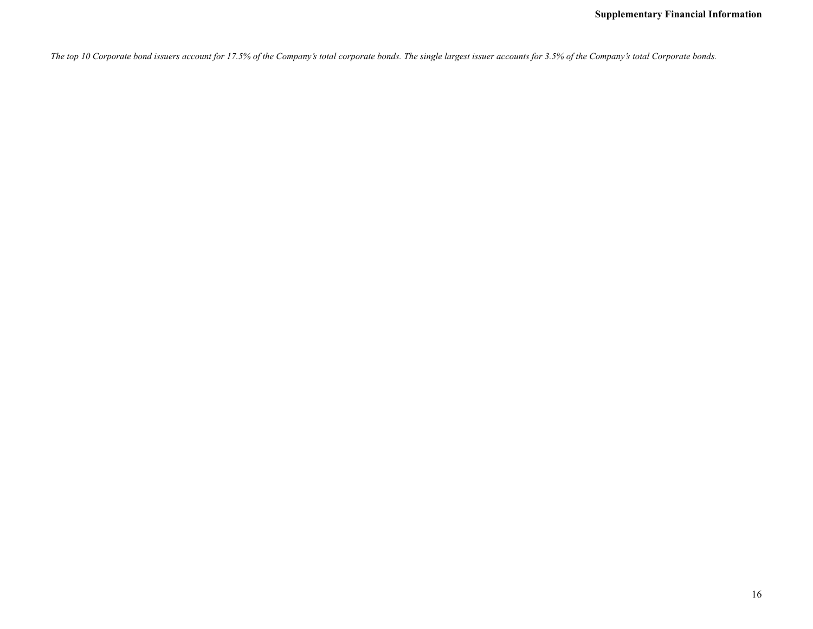*The top 10 Corporate bond issuers account for 17.5% of the Company's total corporate bonds. The single largest issuer accounts for 3.5% of the Company's total Corporate bonds.*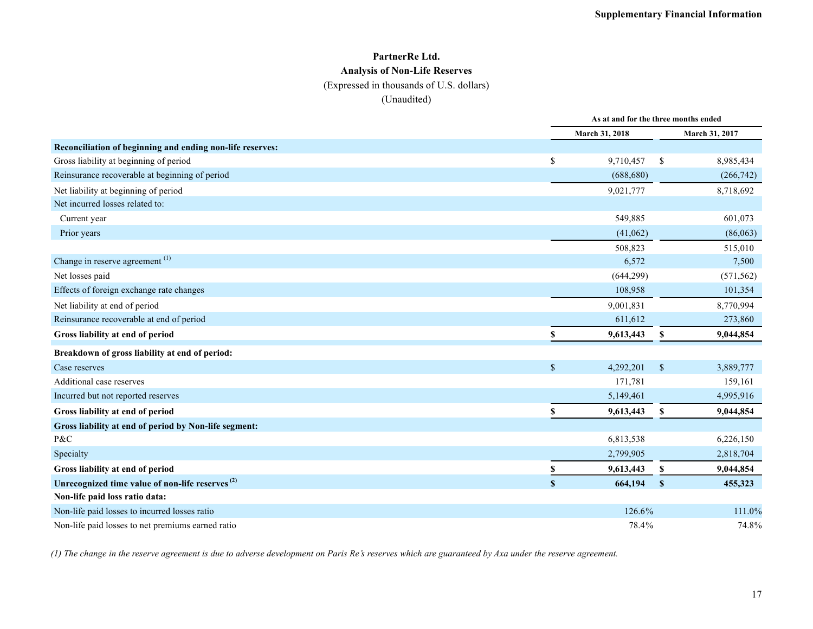### **PartnerRe Ltd. Analysis of Non-Life Reserves**

#### (Expressed in thousands of U.S. dollars)

#### (Unaudited)

|                                                             |               | As at and for the three months ended |              |                |  |  |
|-------------------------------------------------------------|---------------|--------------------------------------|--------------|----------------|--|--|
|                                                             |               | March 31, 2018                       |              | March 31, 2017 |  |  |
| Reconciliation of beginning and ending non-life reserves:   |               |                                      |              |                |  |  |
| Gross liability at beginning of period                      | <sup>\$</sup> | 9,710,457                            | \$           | 8,985,434      |  |  |
| Reinsurance recoverable at beginning of period              |               | (688, 680)                           |              | (266, 742)     |  |  |
| Net liability at beginning of period                        |               | 9,021,777                            |              | 8,718,692      |  |  |
| Net incurred losses related to:                             |               |                                      |              |                |  |  |
| Current year                                                |               | 549,885                              |              | 601,073        |  |  |
| Prior years                                                 |               | (41,062)                             |              | (86,063)       |  |  |
|                                                             |               | 508,823                              |              | 515,010        |  |  |
| Change in reserve agreement <sup>(1)</sup>                  |               | 6,572                                |              | 7,500          |  |  |
| Net losses paid                                             |               | (644, 299)                           |              | (571, 562)     |  |  |
| Effects of foreign exchange rate changes                    |               | 108,958                              |              | 101,354        |  |  |
| Net liability at end of period                              |               | 9,001,831                            |              | 8,770,994      |  |  |
| Reinsurance recoverable at end of period                    |               | 611,612                              |              | 273,860        |  |  |
| Gross liability at end of period                            |               | 9,613,443                            | S            | 9,044,854      |  |  |
| Breakdown of gross liability at end of period:              |               |                                      |              |                |  |  |
| Case reserves                                               | $\mathbb{S}$  | 4,292,201                            | $\mathbb{S}$ | 3,889,777      |  |  |
| Additional case reserves                                    |               | 171,781                              |              | 159,161        |  |  |
| Incurred but not reported reserves                          |               | 5,149,461                            |              | 4,995,916      |  |  |
| Gross liability at end of period                            | S             | 9,613,443                            | S            | 9,044,854      |  |  |
| Gross liability at end of period by Non-life segment:       |               |                                      |              |                |  |  |
| P&C                                                         |               | 6,813,538                            |              | 6,226,150      |  |  |
| Specialty                                                   |               | 2,799,905                            |              | 2,818,704      |  |  |
| Gross liability at end of period                            |               | 9,613,443                            | S            | 9,044,854      |  |  |
| Unrecognized time value of non-life reserves <sup>(2)</sup> | <sup>\$</sup> | 664,194                              | $\mathbf{s}$ | 455,323        |  |  |
| Non-life paid loss ratio data:                              |               |                                      |              |                |  |  |
| Non-life paid losses to incurred losses ratio               |               | 126.6%                               |              | 111.0%         |  |  |
| Non-life paid losses to net premiums earned ratio           |               | 78.4%                                |              | 74.8%          |  |  |

*(1) The change in the reserve agreement is due to adverse development on Paris Re's reserves which are guaranteed by Axa under the reserve agreement.*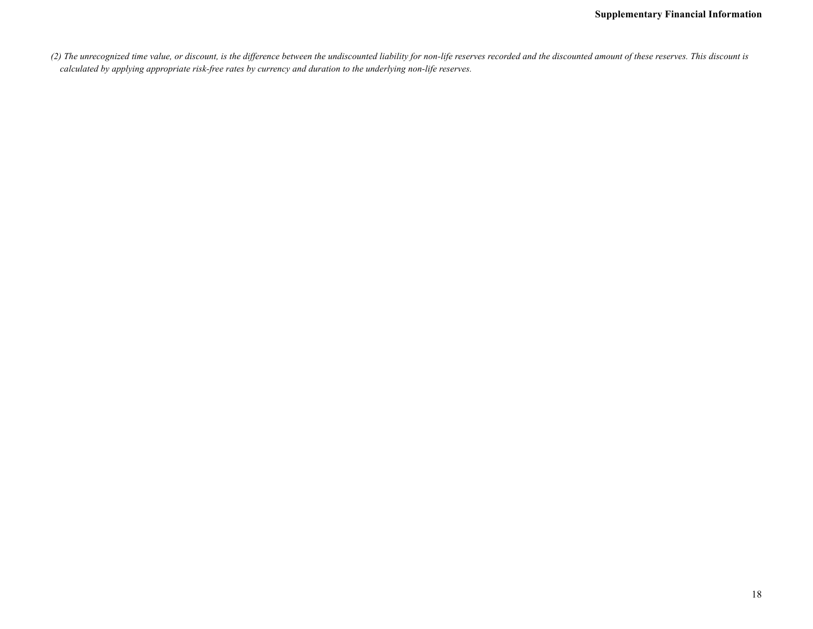*(2) The unrecognized time value, or discount, is the difference between the undiscounted liability for non-life reserves recorded and the discounted amount of these reserves. This discount is calculated by applying appropriate risk-free rates by currency and duration to the underlying non-life reserves.*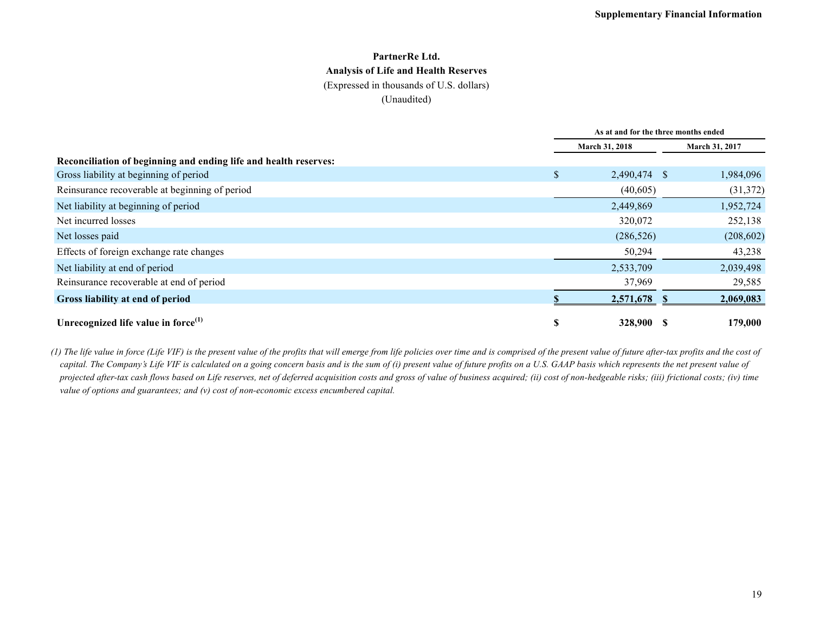#### **PartnerRe Ltd. Analysis of Life and Health Reserves** (Expressed in thousands of U.S. dollars)

(Unaudited)

|                                                                  | As at and for the three months ended |              |  |                       |  |  |
|------------------------------------------------------------------|--------------------------------------|--------------|--|-----------------------|--|--|
|                                                                  | March 31, 2018                       |              |  | <b>March 31, 2017</b> |  |  |
| Reconciliation of beginning and ending life and health reserves: |                                      |              |  |                       |  |  |
| Gross liability at beginning of period                           | \$                                   | 2,490,474 \$ |  | 1,984,096             |  |  |
| Reinsurance recoverable at beginning of period                   |                                      | (40, 605)    |  | (31, 372)             |  |  |
| Net liability at beginning of period                             |                                      | 2,449,869    |  | 1,952,724             |  |  |
| Net incurred losses                                              |                                      | 320,072      |  | 252,138               |  |  |
| Net losses paid                                                  |                                      | (286, 526)   |  | (208, 602)            |  |  |
| Effects of foreign exchange rate changes                         |                                      | 50,294       |  | 43,238                |  |  |
| Net liability at end of period                                   |                                      | 2,533,709    |  | 2,039,498             |  |  |
| Reinsurance recoverable at end of period                         |                                      | 37,969       |  | 29,585                |  |  |
| Gross liability at end of period                                 |                                      | 2,571,678    |  | 2,069,083             |  |  |
| Unrecognized life value in force $^{(1)}$                        | S                                    | 328,900      |  | 179,000               |  |  |

*(1) The life value in force (Life VIF) is the present value of the profits that will emerge from life policies over time and is comprised of the present value of future after-tax profits and the cost of*  capital. The Company's Life VIF is calculated on a going concern basis and is the sum of (i) present value of future profits on a U.S. GAAP basis which represents the net present value of *projected after-tax cash flows based on Life reserves, net of deferred acquisition costs and gross of value of business acquired; (ii) cost of non-hedgeable risks; (iii) frictional costs; (iv) time value of options and guarantees; and (v) cost of non-economic excess encumbered capital.*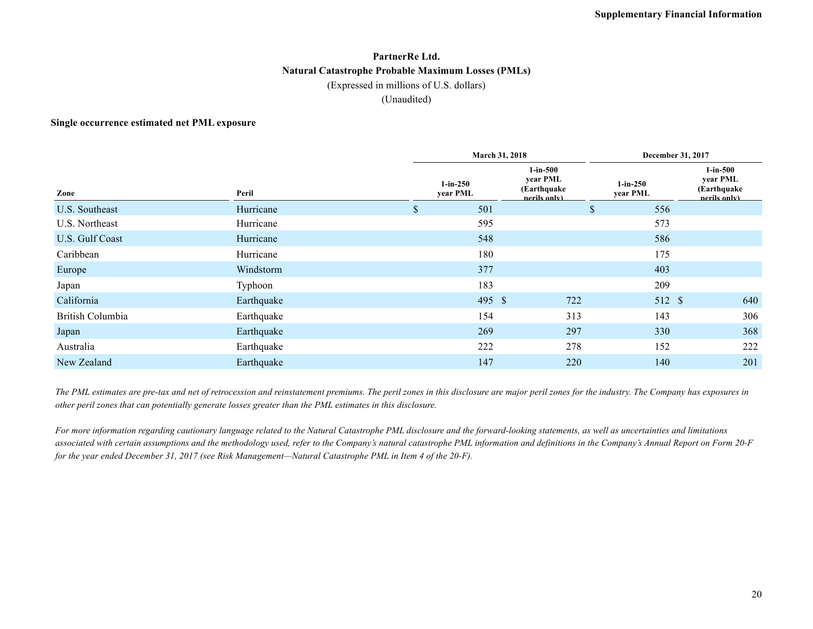#### **PartnerRe Ltd. Natural Catastrophe Probable Maximum Losses (PMLs)** (Expressed in millions of U.S. dollars) (Unaudited)

#### **Single occurrence estimated net PML exposure**

|                  |            |              | <b>March 31, 2018</b>  | December 31, 2017                                       |                         |                                                           |  |
|------------------|------------|--------------|------------------------|---------------------------------------------------------|-------------------------|-----------------------------------------------------------|--|
| Zone             | Peril      |              | $1-in-250$<br>year PML | $1$ -in-500<br>year PML<br>(Earthquake)<br>nerils only) | $1$ -in-250<br>year PML | $1$ -in- $500$<br>year PML<br>(Earthquake<br>nerils only) |  |
| U.S. Southeast   | Hurricane  | $\mathbb{S}$ | 501                    | S.                                                      | 556                     |                                                           |  |
| U.S. Northeast   | Hurricane  |              | 595                    |                                                         | 573                     |                                                           |  |
| U.S. Gulf Coast  | Hurricane  |              | 548                    |                                                         | 586                     |                                                           |  |
| Caribbean        | Hurricane  |              | 180                    |                                                         | 175                     |                                                           |  |
| Europe           | Windstorm  |              | 377                    |                                                         | 403                     |                                                           |  |
| Japan            | Typhoon    |              | 183                    |                                                         | 209                     |                                                           |  |
| California       | Earthquake |              | 495 \$                 | 722                                                     | 512 \$                  | 640                                                       |  |
| British Columbia | Earthquake |              | 154                    | 313                                                     | 143                     | 306                                                       |  |
| Japan            | Earthquake |              | 269                    | 297                                                     | 330                     | 368                                                       |  |
| Australia        | Earthquake |              | 222                    | 278                                                     | 152                     | 222                                                       |  |
| New Zealand      | Earthquake |              | 147                    | 220                                                     | 140                     | 201                                                       |  |

*The PML estimates are pre-tax and net of retrocession and reinstatement premiums. The peril zones in this disclosure are major peril zones for the industry. The Company has exposures in other peril zones that can potentially generate losses greater than the PML estimates in this disclosure.*

*For more information regarding cautionary language related to the Natural Catastrophe PML disclosure and the forward-looking statements, as well as uncertainties and limitations associated with certain assumptions and the methodology used, refer to the Company's natural catastrophe PML information and definitions in the Company's Annual Report on Form 20-F for the year ended December 31, 2017 (see Risk Management—Natural Catastrophe PML in Item 4 of the 20-F).*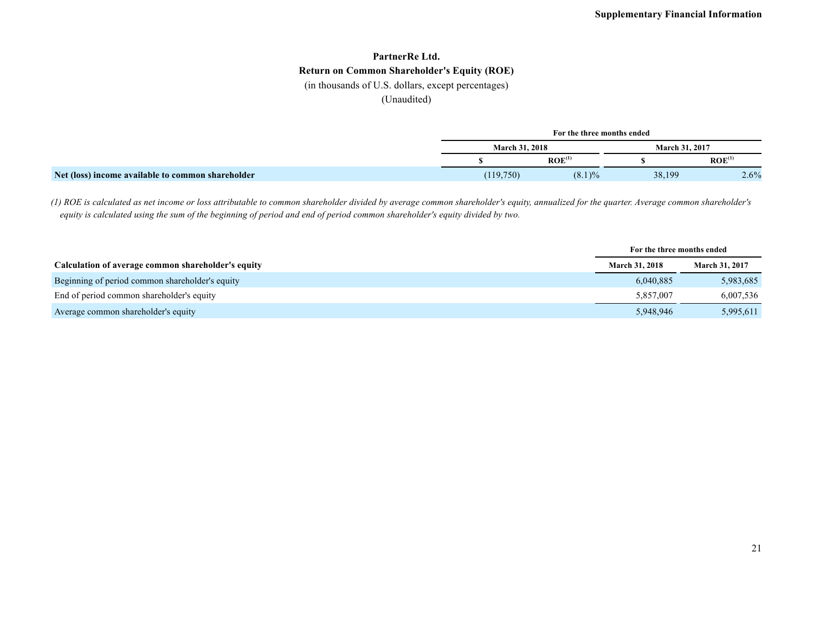# **PartnerRe Ltd. Return on Common Shareholder's Equity (ROE)**

(in thousands of U.S. dollars, except percentages)

(Unaudited)

|                                                   |           | For the three months ended |                |                    |
|---------------------------------------------------|-----------|----------------------------|----------------|--------------------|
|                                                   |           | <b>March 31, 2018</b>      | March 31, 2017 |                    |
|                                                   |           | ROE <sup>(1)</sup>         |                | ROE <sup>(1)</sup> |
| Net (loss) income available to common shareholder | (119,750) | $(8.1)\%$                  | 38,199         | 2.6%               |

*(1) ROE is calculated as net income or loss attributable to common shareholder divided by average common shareholder's equity, annualized for the quarter. Average common shareholder's equity is calculated using the sum of the beginning of period and end of period common shareholder's equity divided by two.*

|                                                    | For the three months ended |                       |  |
|----------------------------------------------------|----------------------------|-----------------------|--|
| Calculation of average common shareholder's equity | <b>March 31, 2018</b>      | <b>March 31, 2017</b> |  |
| Beginning of period common shareholder's equity    | 6,040,885                  | 5,983,685             |  |
| End of period common shareholder's equity          | 5,857,007                  | 6,007,536             |  |
| Average common shareholder's equity                | 5,948,946                  | 5,995,611             |  |